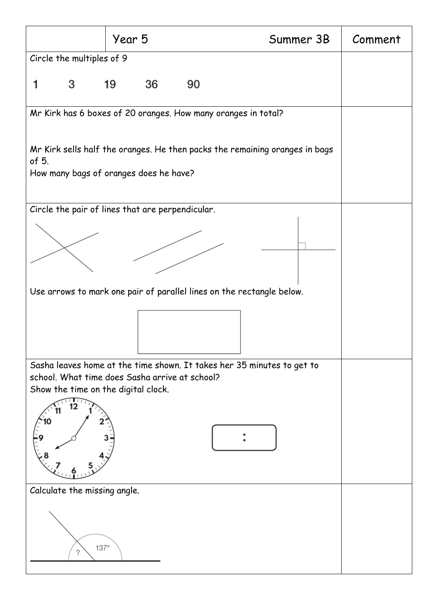|                                                                                                                                                                 | Year 5   | Summer 3B | Comment |
|-----------------------------------------------------------------------------------------------------------------------------------------------------------------|----------|-----------|---------|
| Circle the multiples of 9                                                                                                                                       |          |           |         |
| 3                                                                                                                                                               | 19<br>36 | 90        |         |
| Mr Kirk has 6 boxes of 20 oranges. How many oranges in total?                                                                                                   |          |           |         |
| Mr Kirk sells half the oranges. He then packs the remaining oranges in bags<br>of 5.                                                                            |          |           |         |
| How many bags of oranges does he have?                                                                                                                          |          |           |         |
| Circle the pair of lines that are perpendicular.                                                                                                                |          |           |         |
|                                                                                                                                                                 |          |           |         |
|                                                                                                                                                                 |          |           |         |
| Use arrows to mark one pair of parallel lines on the rectangle below.                                                                                           |          |           |         |
|                                                                                                                                                                 |          |           |         |
| Sasha leaves home at the time shown. It takes her 35 minutes to get to<br>school. What time does Sasha arrive at school?<br>Show the time on the digital clock. |          |           |         |
|                                                                                                                                                                 |          |           |         |
| Calculate the missing angle.                                                                                                                                    |          |           |         |
| $137^\circ$<br>?                                                                                                                                                |          |           |         |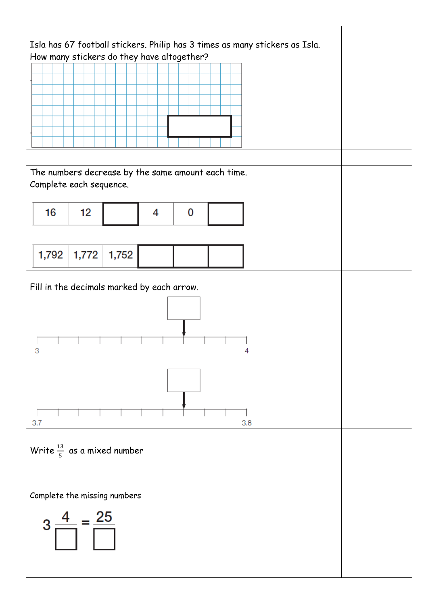